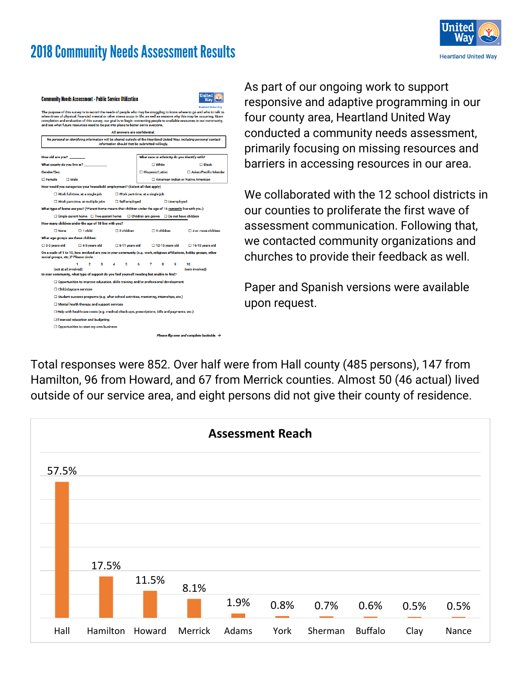# 2018 Community Needs Assessment Results



| <b>Community Needs Assessment - Public Service Utilization</b>                                                                                                                                                                                                                                                                                                                                                                                                                                           | Inited                                                                     |                                                       |                                                       |  |  |  |
|----------------------------------------------------------------------------------------------------------------------------------------------------------------------------------------------------------------------------------------------------------------------------------------------------------------------------------------------------------------------------------------------------------------------------------------------------------------------------------------------------------|----------------------------------------------------------------------------|-------------------------------------------------------|-------------------------------------------------------|--|--|--|
| <b>Heartland United Way</b><br>The purpose of this survey is to record the needs of people who may be struggling to know where to go and who to talk to<br>when times of physical, financial, mental or other stress occur in life; as well as reasons why this may be occurring. Upon<br>completion and evaluation of this survey, our goal is to begin connecting people to available resources in our community,<br>and see what future resources need to be put into place to better serve everyone. |                                                                            |                                                       |                                                       |  |  |  |
| All answers are confidential.                                                                                                                                                                                                                                                                                                                                                                                                                                                                            |                                                                            |                                                       |                                                       |  |  |  |
| No personal or identifying information will be shared outside of the Heartland United Way, including personal contact<br>information should that be submitted willingly.                                                                                                                                                                                                                                                                                                                                 |                                                                            |                                                       |                                                       |  |  |  |
| How old are you?                                                                                                                                                                                                                                                                                                                                                                                                                                                                                         |                                                                            | What race or ethnicity do you identify with?          |                                                       |  |  |  |
| What county do you live in?                                                                                                                                                                                                                                                                                                                                                                                                                                                                              |                                                                            | $\square$ White                                       | $\Box$ Black                                          |  |  |  |
| Gender/Sex:                                                                                                                                                                                                                                                                                                                                                                                                                                                                                              |                                                                            | □ Hispanic/Latino                                     | □ Asian/Pacific Islander                              |  |  |  |
| $\Box$ Female<br>$\square$ Male                                                                                                                                                                                                                                                                                                                                                                                                                                                                          |                                                                            |                                                       | American Indian or Native American                    |  |  |  |
| How would you categorize your household employment? (Select all that apply)                                                                                                                                                                                                                                                                                                                                                                                                                              |                                                                            |                                                       |                                                       |  |  |  |
| $\square$ Work full-time, at a single job                                                                                                                                                                                                                                                                                                                                                                                                                                                                |                                                                            | $\Box$ Work part-time, at a single job                |                                                       |  |  |  |
|                                                                                                                                                                                                                                                                                                                                                                                                                                                                                                          | □ Self-employed<br>$\Box$ Work part-time, at multiple jobs<br>□ Unemployed |                                                       |                                                       |  |  |  |
| What type of home are you? (*Parent home means that children under the age of 18 currently live with you.)                                                                                                                                                                                                                                                                                                                                                                                               |                                                                            |                                                       |                                                       |  |  |  |
| $\Box$ Single-parent home $\Box$ Two-parent home                                                                                                                                                                                                                                                                                                                                                                                                                                                         |                                                                            | $\Box$ Children are grown $\Box$ Do not have children |                                                       |  |  |  |
| How many children under the age of 18 live with you?                                                                                                                                                                                                                                                                                                                                                                                                                                                     |                                                                            |                                                       |                                                       |  |  |  |
| $\Box$ 1 child<br>$\Box$ None                                                                                                                                                                                                                                                                                                                                                                                                                                                                            | $\Box$ 2 children                                                          | $\Box$ 3 children                                     | $\Box$ 4 or more children                             |  |  |  |
| What age groups are these children:                                                                                                                                                                                                                                                                                                                                                                                                                                                                      |                                                                            |                                                       |                                                       |  |  |  |
| $\square$ 0-3 vears old<br>$\square$ 4-5 vears old                                                                                                                                                                                                                                                                                                                                                                                                                                                       | $\Box$ 6-11 years old                                                      | $\square$ 12-15 vears old                             | $\Box$ 16-18 vears old                                |  |  |  |
| On a scale of 1 to 10, how involved are you in your community (e.g. work, religious affiliations, hobby groups, other<br>social groups, etc.)? Please circle.                                                                                                                                                                                                                                                                                                                                            |                                                                            |                                                       |                                                       |  |  |  |
| 1.<br>$\overline{2}$<br>3<br>(not at all involved)<br>In your community, what type of support do you find yourself needing but unable to find?                                                                                                                                                                                                                                                                                                                                                           | 5                                                                          | 7<br>я<br>۰                                           | 10<br>(very involved)                                 |  |  |  |
| $\square$ Opportunities to improve education, skills training and/or professional development                                                                                                                                                                                                                                                                                                                                                                                                            |                                                                            |                                                       |                                                       |  |  |  |
| □ Child/daycare services                                                                                                                                                                                                                                                                                                                                                                                                                                                                                 |                                                                            |                                                       |                                                       |  |  |  |
| □ Student success programs (e.g. after-school activities, mentoring, internships, etc.)                                                                                                                                                                                                                                                                                                                                                                                                                  |                                                                            |                                                       |                                                       |  |  |  |
| $\Box$ Mental health therapy and support services                                                                                                                                                                                                                                                                                                                                                                                                                                                        |                                                                            |                                                       |                                                       |  |  |  |
| $\Box$ Help with healthcare costs (e.g. medical check-ups, prescriptions, bills and payments, etc.)                                                                                                                                                                                                                                                                                                                                                                                                      |                                                                            |                                                       |                                                       |  |  |  |
| □ Financial education and budgeting                                                                                                                                                                                                                                                                                                                                                                                                                                                                      |                                                                            |                                                       |                                                       |  |  |  |
| $\Box$ Opportunities to start my own business                                                                                                                                                                                                                                                                                                                                                                                                                                                            |                                                                            |                                                       |                                                       |  |  |  |
|                                                                                                                                                                                                                                                                                                                                                                                                                                                                                                          |                                                                            |                                                       | Please flip over and complete backside. $\rightarrow$ |  |  |  |

As part of our ongoing work to support responsive and adaptive programming in our four county area, Heartland United Way conducted a community needs assessment, primarily focusing on missing resources and barriers in accessing resources in our area.

We collaborated with the 12 school districts in our counties to proliferate the first wave of assessment communication. Following that, we contacted community organizations and churches to provide their feedback as well.

Paper and Spanish versions were available upon request.

Total responses were 852. Over half were from Hall county (485 persons), 147 from Hamilton, 96 from Howard, and 67 from Merrick counties. Almost 50 (46 actual) lived outside of our service area, and eight persons did not give their county of residence.

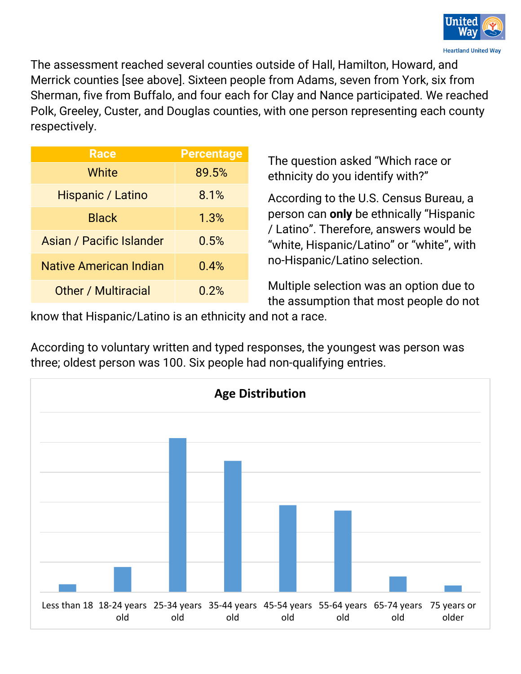

The assessment reached several counties outside of Hall, Hamilton, Howard, and Merrick counties [see above]. Sixteen people from Adams, seven from York, six from Sherman, five from Buffalo, and four each for Clay and Nance participated. We reached Polk, Greeley, Custer, and Douglas counties, with one person representing each county respectively.

| <b>Race</b>                     | <b>Percentage</b> |
|---------------------------------|-------------------|
| White                           | 89.5%             |
| Hispanic / Latino               | 8.1%              |
| <b>Black</b>                    | 1.3%              |
| <b>Asian / Pacific Islander</b> | 0.5%              |
| <b>Native American Indian</b>   | 0.4%              |
| <b>Other / Multiracial</b>      | 0.2%              |

The question asked "Which race or ethnicity do you identify with?"

According to the U.S. Census Bureau, a person can **only** be ethnically "Hispanic / Latino". Therefore, answers would be "white, Hispanic/Latino" or "white", with no-Hispanic/Latino selection.

Multiple selection was an option due to the assumption that most people do not

know that Hispanic/Latino is an ethnicity and not a race.

According to voluntary written and typed responses, the youngest was person was three; oldest person was 100. Six people had non-qualifying entries.

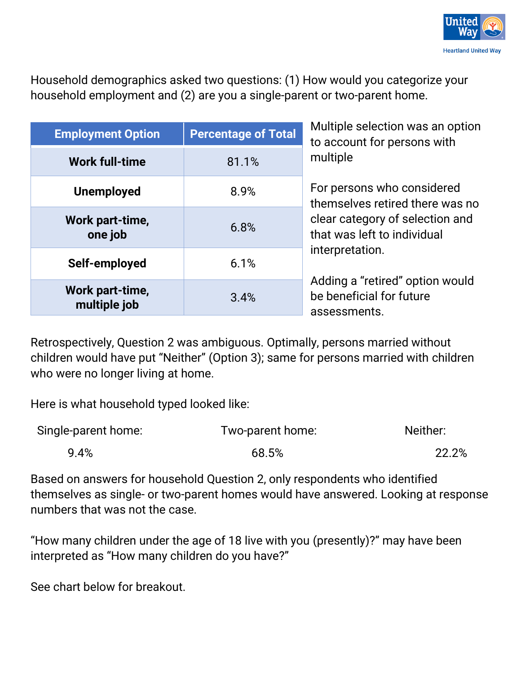

Household demographics asked two questions: (1) How would you categorize your household employment and (2) are you a single-parent or two-parent home.

| <b>Employment Option</b>        | <b>Percentage of Total</b> | Multiple selection was an option<br>to account for persons with             |  |
|---------------------------------|----------------------------|-----------------------------------------------------------------------------|--|
| <b>Work full-time</b>           | 81.1%                      | multiple                                                                    |  |
| <b>Unemployed</b>               | 8.9%                       | For persons who considered<br>themselves retired there was no               |  |
| Work part-time,<br>one job      | 6.8%                       | clear category of selection and<br>that was left to individual              |  |
| Self-employed                   | 6.1%                       | interpretation.                                                             |  |
| Work part-time,<br>multiple job | 3.4%                       | Adding a "retired" option would<br>be beneficial for future<br>assessments. |  |

Retrospectively, Question 2 was ambiguous. Optimally, persons married without children would have put "Neither" (Option 3); same for persons married with children who were no longer living at home.

Here is what household typed looked like:

| Single-parent home: | Two-parent home: | Neither: |
|---------------------|------------------|----------|
| 9.4%                | 68.5%            | 22.2%    |

Based on answers for household Question 2, only respondents who identified themselves as single- or two-parent homes would have answered. Looking at response numbers that was not the case.

"How many children under the age of 18 live with you (presently)?" may have been interpreted as "How many children do you have?"

See chart below for breakout.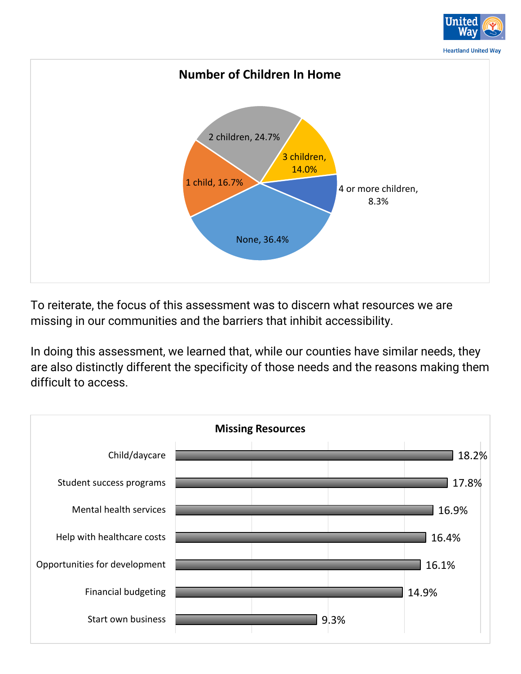

To reiterate, the focus of this assessment was to discern what resources we are missing in our communities and the barriers that inhibit accessibility.

In doing this assessment, we learned that, while our counties have similar needs, they are also distinctly different the specificity of those needs and the reasons making them difficult to access.

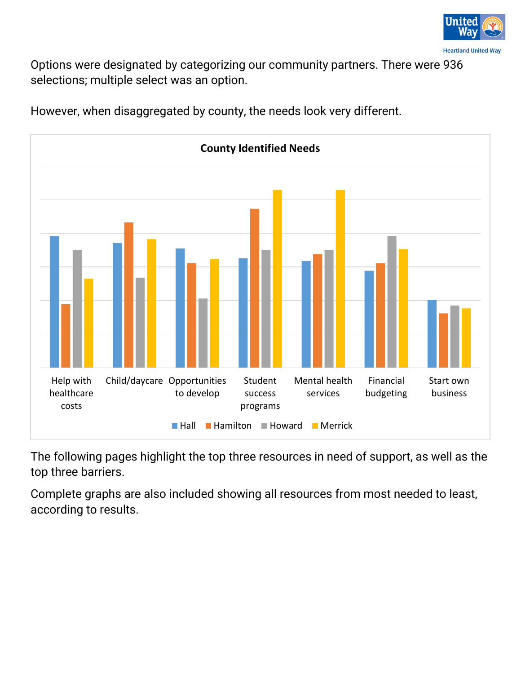

Options were designated by categorizing our community partners. There were 936 selections; multiple select was an option.



However, when disaggregated by county, the needs look very different.

The following pages highlight the top three resources in need of support, as well as the top three barriers.

Complete graphs are also included showing all resources from most needed to least, according to results.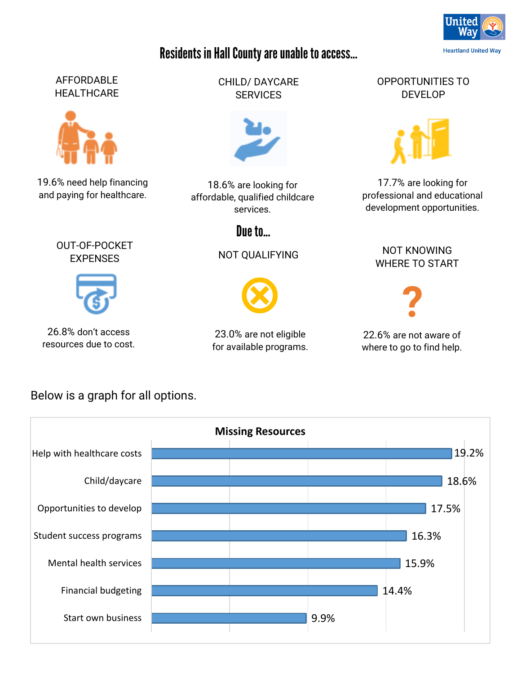## Residents in Hall County are unable to access...

#### AFFORDABLE **HEALTHCARE**



19.6% need help financing and paying for healthcare.

> OUT-OF-POCKET **EXPENSES**



26.8% don't access resources due to cost.

CHILD/ DAYCARE **SERVICES** 



18.6% are looking for affordable, qualified childcare services.

Due to...

NOT QUALIFYING



23.0% are not eligible for available programs. OPPORTUNITIES TO DEVELOP



17.7% are looking for professional and educational development opportunities.

> NOT KNOWING WHERE TO START



22.6% are not aware of where to go to find help.

Below is a graph for all options.



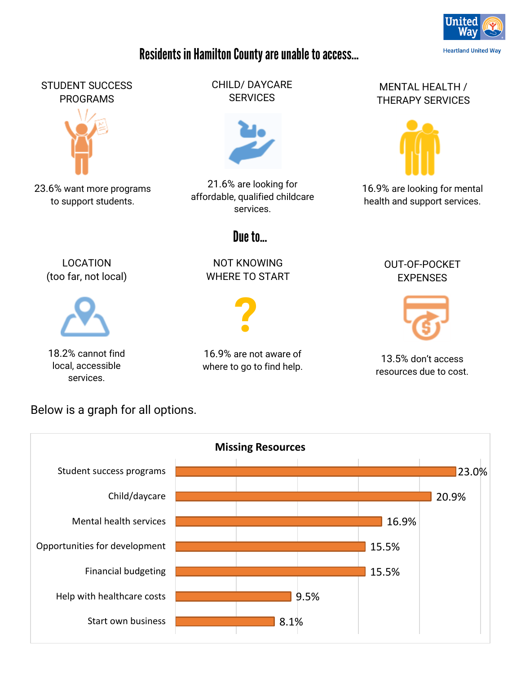

#### Residents in Hamilton County are unable to access...

#### STUDENT SUCCESS PROGRAMS



23.6% want more programs to support students.

> LOCATION (too far, not local)

18.2% cannot find local, accessible services.

CHILD/ DAYCARE **SERVICES** 



21.6% are looking for affordable, qualified childcare services.

## Due to **D**

NOT KNOWING WHERE TO START



16.9% are not aware of where to go to find help.

#### MENTAL HEALTH / THERAPY SERVICES



16.9% are looking for mental health and support services.

#### OUT-OF-POCKET EXPENSES



13.5% don't access resources due to cost.

8.1% 9.5% 15.5% 15.5% 16.9% 20.9% 23.0% Start own business Help with healthcare costs Financial budgeting Opportunities for development Mental health services Child/daycare Student success programs **Missing Resources**

Below is a graph for all options.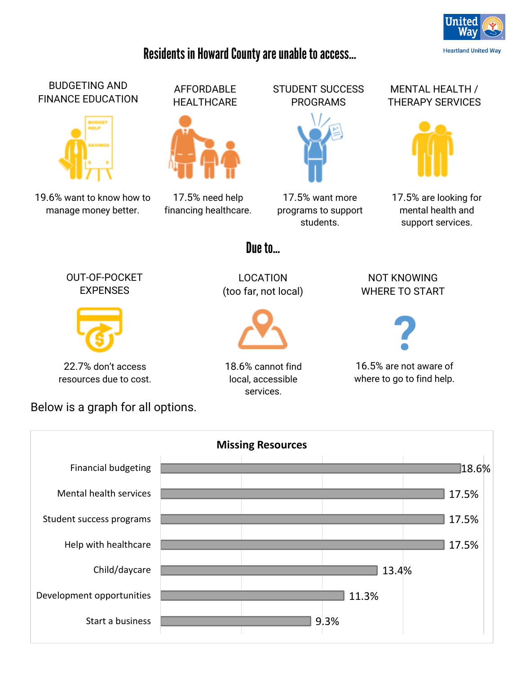## Residents in Howard County are unable to access...

AFFORDABLE **HEALTHCARE** 

17.5% need help financing healthcare.





17.5% want more programs to support students.

# THERAPY SERVICES



17.5% are looking for mental health and support services.

#### Due to **D**

OUT-OF-POCKET **EXPENSES** 

19.6% want to know how to manage money better.

BUDGETING AND FINANCE EDUCATION



22.7% don't access resources due to cost.

Below is a graph for all options.

LOCATION (too far, not local)



18.6% cannot find local, accessible services.

NOT KNOWING WHERE TO START



16.5% are not aware of where to go to find help.

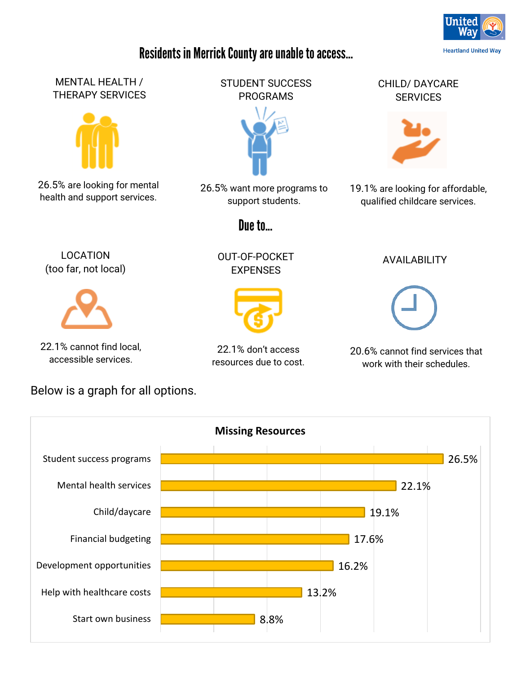

## Residents in Merrick County are unable to access...



#### Below is a graph for all options.

resources due to cost.

work with their schedules.

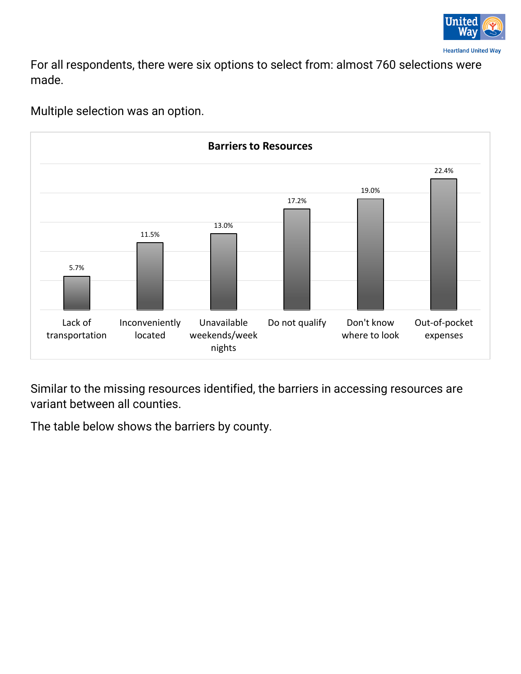

For all respondents, there were six options to select from: almost 760 selections were made.



Multiple selection was an option.

Similar to the missing resources identified, the barriers in accessing resources are variant between all counties.

The table below shows the barriers by county.